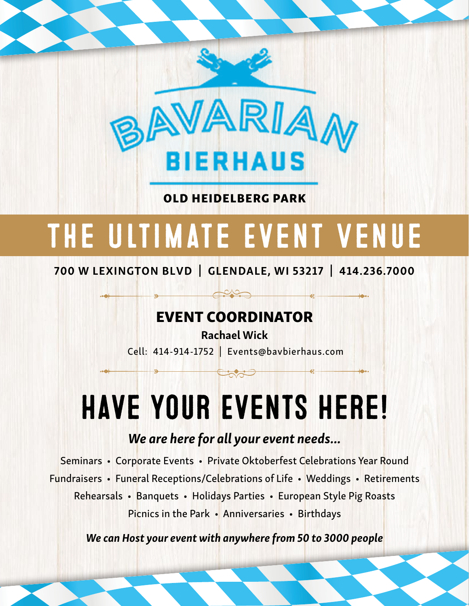

OLD HEIDELBERG PARK

## The Ultimate Event Venue

700 W LEXINGTON BLVD | GLENDALE, WI 53217 | 414.236.7000

### EVENT COORDINATOR

Rachael Wick Cell: 414-914-1752 | Events@bavbierhaus.com

**Control** 

## Have your Events Here!

### *We are here for all your event needs...*

Seminars • Corporate Events • Private Oktoberfest Celebrations Year Round Fundraisers • Funeral Receptions/Celebrations of Life • Weddings • Retirements Rehearsals • Banquets • Holidays Parties • European Style Pig Roasts Picnics in the Park • Anniversaries • Birthdays

*We can Host your event with anywhere from 50 to 3000 people*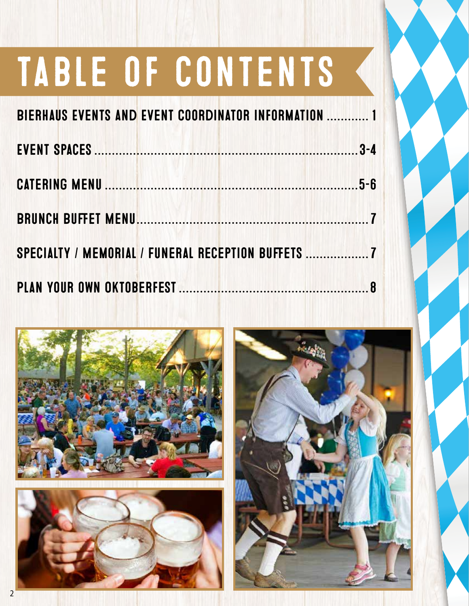# table of contents

| BIERHAUS EVENTS AND EVENT COORDINATOR INFORMATION  1 |  |
|------------------------------------------------------|--|
|                                                      |  |
|                                                      |  |
|                                                      |  |
| SPECIALTY / MEMORIAL / FUNERAL RECEPTION BUFFETS     |  |
|                                                      |  |





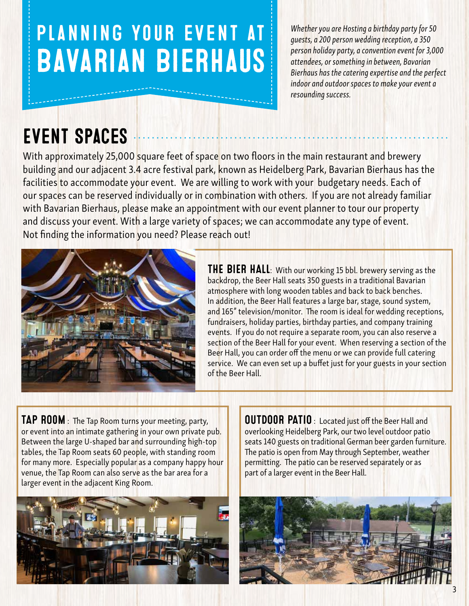## Planning your event at Bavarian Bierhaus

*Whether you are Hosting a birthday party for 50 guests, a 200 person wedding reception, a 350 person holiday party, a convention event for 3,000 attendees, or something in between, Bavarian Bierhaus has the catering expertise and the perfect indoor and outdoor spaces to make your event a resounding success.*

## Event Spaces

With approximately 25,000 square feet of space on two floors in the main restaurant and brewery building and our adjacent 3.4 acre festival park, known as Heidelberg Park, Bavarian Bierhaus has the facilities to accommodate your event. We are willing to work with your budgetary needs. Each of our spaces can be reserved individually or in combination with others. If you are not already familiar with Bavarian Bierhaus, please make an appointment with our event planner to tour our property and discuss your event. With a large variety of spaces; we can accommodate any type of event. Not finding the information you need? Please reach out!



**THE BIER HALL:** With our working 15 bbl. brewery serving as the backdrop, the Beer Hall seats 350 guests in a traditional Bavarian atmosphere with long wooden tables and back to back benches. In addition, the Beer Hall features a large bar, stage, sound system, and 165" television/monitor. The room is ideal for wedding receptions, fundraisers, holiday parties, birthday parties, and company training events. If you do not require a separate room, you can also reserve a section of the Beer Hall for your event. When reserving a section of the Beer Hall, you can order off the menu or we can provide full catering service. We can even set up a buffet just for your guests in your section of the Beer Hall.

**TAP ROOM** : The Tap Room turns your meeting, party, or event into an intimate gathering in your own private pub. Between the large U-shaped bar and surrounding high-top tables, the Tap Room seats 60 people, with standing room for many more. Especially popular as a company happy hour venue, the Tap Room can also serve as the bar area for a larger event in the adjacent King Room.



**OUTDOOR PATIO**: Located just off the Beer Hall and overlooking Heidelberg Park, our two level outdoor patio seats 140 guests on traditional German beer garden furniture. The patio is open from May through September, weather permitting. The patio can be reserved separately or as part of a larger event in the Beer Hall.

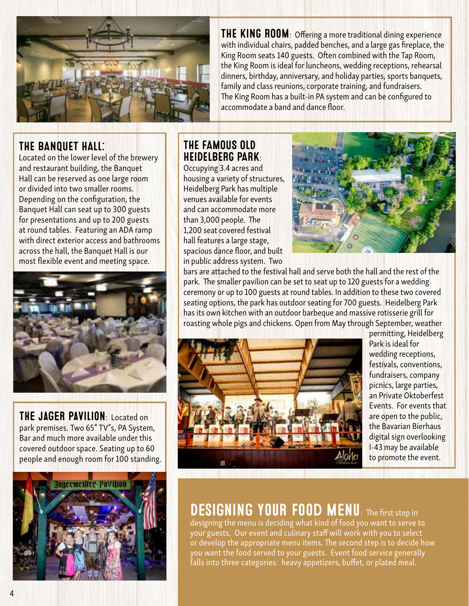

THE BANQUET HALL:

Located on the lower level of the brewery and restaurant building, the Banquet Hall can be reserved as one large room or divided into two smaller rooms. Depending on the configuration, the Banquet Hall can seat up to 300 guests for presentations and up to 200 guests at round tables. Featuring an ADA ramp with direct exterior access and bathrooms across the hall, the Banquet Hall is our most flexible event and meeting space.



THE JAGER PAVILION: Located on park premises. Two 65" TV"s, PA System, Bar and much more available under this covered outdoor space. Seating up to 60 people and enough room for 100 standing.



THE KING ROOM: Offering a more traditional dining experience with individual chairs, padded benches, and a large gas fireplace, the King Room seats 140 guests. Often combined with the Tap Room, the King Room is ideal for luncheons, wedding receptions, rehearsal dinners, birthday, anniversary, and holiday parties, sports banquets, family and class reunions, corporate training, and fundraisers. The King Room has a built-in PA system and can be configured to accommodate a band and dance floor.

### THE FAMOUS OLD HEIDELBERG PARK:

Occupying 3.4 acres and housing a variety of structures, Heidelberg Park has multiple venues available for events and can accommodate more than 3,000 people. The 1,200 seat covered festival hall features a large stage, spacious dance floor, and built in public address system. Two



bars are attached to the festival hall and serve both the hall and the rest of the park. The smaller pavilion can be set to seat up to 120 guests for a wedding ceremony or up to 100 guests at round tables. In addition to these two covered seating options, the park has outdoor seating for 700 guests. Heidelberg Park has its own kitchen with an outdoor barbeque and massive rotisserie grill for roasting whole pigs and chickens. Open from May through September, weather



permitting, Heidelberg Park is ideal for wedding receptions, festivals, conventions, fundraisers, company picnics, large parties, an Private Oktoberfest Events. For events that are open to the public, the Bavarian Bierhaus digital sign overlooking I-43 may be available to promote the event.

### DESIGNING YOUR FOOD MENU: The first step in

designing the menu is deciding what kind of food you want to serve to your guests. Our event and culinary staff will work with you to select or develop the appropriate menu items. The second step is to decide how you want the food served to your guests. Event food service generally falls into three categories: heavy appetizers, buffet, or plated meal.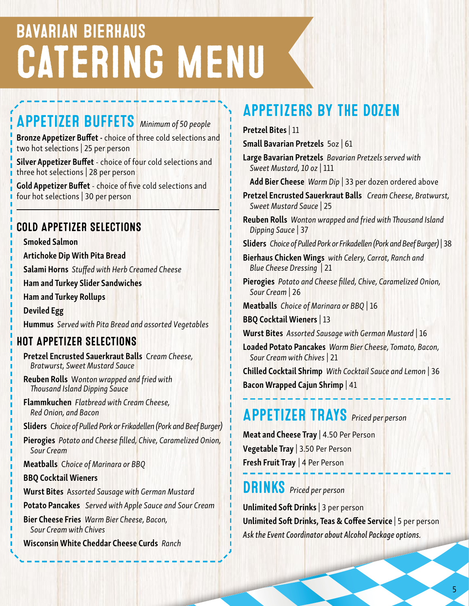## Bavarian Bierhaus CATERING MENU

## APPETIZER BUFFETS *Minimum of 50 people*

Bronze Appetizer Buffet - choice of three cold selections and two hot selections | 25 per person

Silver Appetizer Buffet - choice of four cold selections and three hot selections | 28 per person

Gold Appetizer Buffet - choice of five cold selections and four hot selections | 30 per person

### COLD APPETIZER SELECTIONS

Smoked Salmon

Artichoke Dip With Pita Bread

Salami Horns *Stuffed with Herb Creamed Cheese*

Ham and Turkey Slider Sandwiches

Ham and Turkey Rollups

Deviled Egg Hummus *Served with Pita Bread and assorted Vegetables*

### HOT APPETIZER SELECTIONS

Pretzel Encrusted Sauerkraut Balls C*ream Cheese, Bratwurst, Sweet Mustard Sauce*

Reuben Rolls W*onton wrapped and fried with Thousand Island Dipping Sauce*

Flammkuchen *Flatbread with Cream Cheese, Red Onion, and Bacon*

Sliders C*hoice of Pulled Pork or Frikadellen (Pork and Beef Burger)* 

Pierogies *Potato and Cheese filled, Chive, Caramelized Onion, Sour Cream*

Meatballs C*hoice of Marinara or BBQ*

BBQ Cocktail Wieners

Wurst Bites A*ssorted Sausage with German Mustard*

Potato Pancakes *Served with Apple Sauce and Sour Cream*

Bier Cheese Fries *Warm Bier Cheese, Bacon, Sour Cream with Chives* 

Wisconsin White Cheddar Cheese Curds *Ranch*

## Appetizers By the Dozen

Pretzel Bites | 11

Small Bavarian Pretzels 5oz | 61

Large Bavarian Pretzels *Bavarian Pretzels served with Sweet Mustard, 10 oz* | 111

Add Bier Cheese *Warm Dip* | 33 per dozen ordered above

Pretzel Encrusted Sauerkraut Balls *Cream Cheese, Bratwurst, Sweet Mustard Sauce* | 25

Reuben Rolls *Wonton wrapped and fried with Thousand Island Dipping Sauce* | 37

Sliders *Choice of Pulled Pork or Frikadellen (Pork and Beef Burger)* | 38

Bierhaus Chicken Wings *with Celery, Carrot, Ranch and Blue Cheese Dressing* | 21

Pierogies *Potato and Cheese filled, Chive, Caramelized Onion, Sour Cream* | 26

Meatballs *Choice of Marinara or BBQ* | 16

BBQ Cocktail Wieners | 13

Wurst Bites *Assorted Sausage with German Mustard* | 16

Loaded Potato Pancakes *Warm Bier Cheese, Tomato, Bacon, Sour Cream with Chives* | 21

Chilled Cocktail Shrimp *With Cocktail Sauce and Lemon* | 36 Bacon Wrapped Cajun Shrimp | 41

## APPETIZER TRAYS *Priced per person*

Meat and Cheese Tray | 4.50 Per Person Vegetable Tray | 3.50 Per Person Fresh Fruit Tray | 4 Per Person

### **DRINKS** Priced per person

Unlimited Soft Drinks | 3 per person Unlimited Soft Drinks, Teas & Coffee Service | 5 per person *Ask the Event Coordinator about Alcohol Package options.*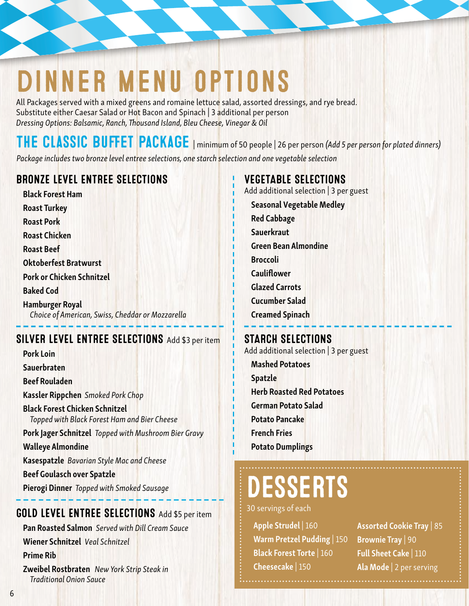## dinner menu options

All Packages served with a mixed greens and romaine lettuce salad, assorted dressings, and rye bread. Substitute either Caesar Salad or Hot Bacon and Spinach | 3 additional per person *Dressing Options: Balsamic, Ranch, Thousand Island, Bleu Cheese, Vinegar & Oil* 

The Classic Buffet Package | minimum of 50 people | 26 per person *(Add 5 per person for plated dinners)*

*Package includes two bronze level entree selections, one starch selection and one vegetable selection*

#### BRONZE LEVEL ENTREE SELECTIONS

Black Forest Ham Roast Turkey Roast Pork Roast Chicken Roast Beef Oktoberfest Bratwurst Pork or Chicken Schnitzel Baked Cod Hamburger Royal *Choice of American, Swiss, Cheddar or Mozzarella*

### SILVER LEVEL ENTREE SELECTIONS Add \$3 per item

Pork Loin Sauerbraten Beef Rouladen Kassler Rippchen *Smoked Pork Chop* Black Forest Chicken Schnitzel *Topped with Black Forest Ham and Bier Cheese* Pork Jager Schnitzel *Topped with Mushroom Bier Gravy* Walleye Almondine Kasespatzle *Bavarian Style Mac and Cheese* Beef Goulasch over Spatzle Pierogi Dinner *Topped with Smoked Sausage*

#### GOLD LEVEL ENTREE SELECTIONS Add \$5 per item

Pan Roasted Salmon *Served with Dill Cream Sauce* Wiener Schnitzel *Veal Schnitzel* Prime Rib Zweibel Rostbraten *New York Strip Steak in Traditional Onion Sauce*

#### VEGETABLE SELECTIONS

Add additional selection | 3 per guest

Seasonal Vegetable Medley

- Red Cabbage
- **Sauerkraut**
- Green Bean Almondine
- Broccoli
- Cauliflower
- Glazed Carrots
- Cucumber Salad
- Creamed Spinach

#### STARCH SELECTIONS

Add additional selection | 3 per guest

Mashed Potatoes Spatzle Herb Roasted Red Potatoes German Potato Salad Potato Pancake French Fries Potato Dumplings

## **ESSERTS**

30 servings of each

Apple Strudel | 160 Warm Pretzel Pudding | 150 Black Forest Torte | 160 Cheesecake | 150

Assorted Cookie Tray | 85 Brownie Tray | 90 Full Sheet Cake | 110 Ala Mode | 2 per serving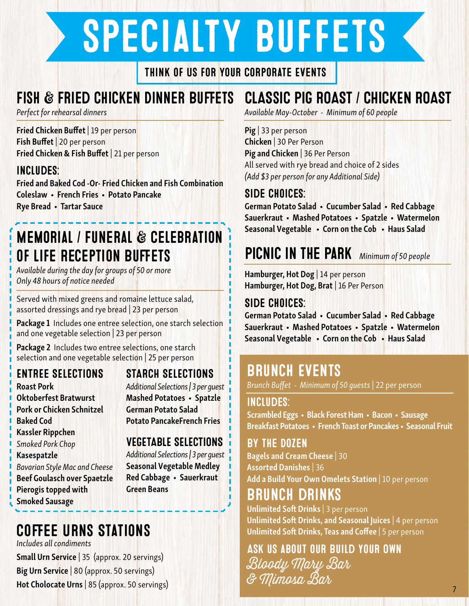# specialty buffets

Think of Us for your Corporate Events

## Fish & Fried Chicken Dinner Buffets

*Perfect for rehearsal dinners*

Fried Chicken Buffet | 19 per person Fish Buffet | 20 per person Fried Chicken & Fish Buffet | 21 per person

### Includes:

Fried and Baked Cod -Or- Fried Chicken and Fish Combination Coleslaw • French Fries • Potato Pancake Rye Bread • Tartar Sauce

## Memorial / Funeral & Celebration of Life Reception Buffets

*Available during the day for groups of 50 or more Only 48 hours of notice needed*

Served with mixed greens and romaine lettuce salad, assorted dressings and rye bread | 23 per person

Package 1 Includes one entree selection, one starch selection and one vegetable selection | 23 per person

Package 2 Includes two entree selections, one starch selection and one vegetable selection | 25 per person

### ENTREE SELECTIONS

Roast Pork Oktoberfest Bratwurst Pork or Chicken Schnitzel Baked Cod Kassler Rippchen *Smoked Pork Chop* Kasespatzle *Bavarian Style Mac and Cheese* Beef Goulasch over Spaetzle Pierogis topped with Smoked Sausage

### STARCH SELECTIONS

*Additional Selections | 3 per guest* Mashed Potatoes • Spatzle German Potato Salad Potato PancakeFrench Fries

#### VEGETABLE SELECTIONS

*Additional Selections | 3 per guest* Seasonal Vegetable Medley Red Cabbage • Sauerkraut Green Beans

#### Coffee Urns Stations *Includes all condiments*

Small Urn Service | 35 (approx. 20 servings) Big Urn Service | 80 (approx. 50 servings) Hot Cholocate Urns | 85 (approx. 50 servings)

### CLASSIC PIG ROAST / CHICKEN ROAST

*Available May-October - Minimum of 60 people*

Pig | 33 per person Chicken | 30 Per Person Pig and Chicken | 36 Per Person All served with rye bread and choice of 2 sides *(Add \$3 per person for any Additional Side)*

### Side Choices:

German Potato Salad • Cucumber Salad • Red Cabbage Sauerkraut • Mashed Potatoes • Spatzle • Watermelon Seasonal Vegetable • Corn on the Cob • Haus Salad

## Picnic in the Park *Minimum of 50 people*

Hamburger, Hot Dog | 14 per person Hamburger, Hot Dog, Brat | 16 Per Person

#### Side Choices:

German Potato Salad • Cucumber Salad • Red Cabbage Sauerkraut • Mashed Potatoes • Spatzle • Watermelon Seasonal Vegetable • Corn on the Cob • Haus Salad

### **BRUNCH EVENTS**

*Brunch Buffet - Minimum of 50 guests* | 22 per person

### Includes:

Scrambled Eggs • Black Forest Ham • Bacon • Sausage Breakfast Potatoes • French Toast or Pancakes • Seasonal Fruit

### By the Dozen

Bagels and Cream Cheese | 30 Assorted Danishes | 36 Add a Build Your Own Omelets Station | 10 per person

### Brunch drinks

Unlimited Soft Drinks | 3 per person Unlimited Soft Drinks, and Seasonal Juices 4 per person Unlimited Soft Drinks, Teas and Coffee | 5 per person

7

Ask us about our Build Your Own Bloody Mary Bar & Mimosa Bar